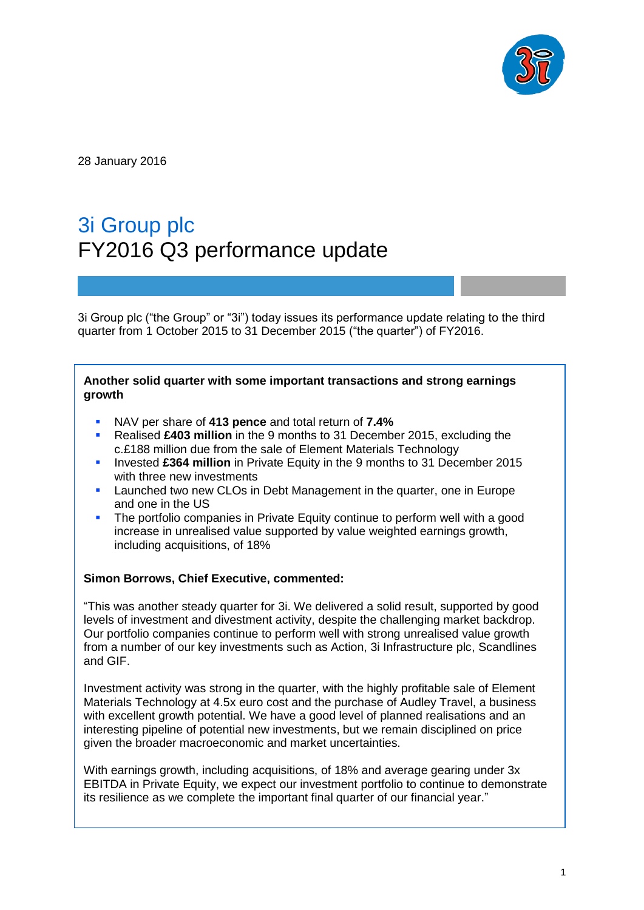

28 January 2016

# 3i Group plc FY2016 Q3 performance update

3i Group plc ("the Group" or "3i") today issues its performance update relating to the third quarter from 1 October 2015 to 31 December 2015 ("the quarter") of FY2016.

#### **Another solid quarter with some important transactions and strong earnings growth**

- NAV per share of **413 pence** and total return of **7.4%**
- Realised **£403 million** in the 9 months to 31 December 2015, excluding the c.£188 million due from the sale of Element Materials Technology
- **Invested £364 million** in Private Equity in the 9 months to 31 December 2015 with three new investments
- Launched two new CLOs in Debt Management in the quarter, one in Europe and one in the US
- The portfolio companies in Private Equity continue to perform well with a good increase in unrealised value supported by value weighted earnings growth, including acquisitions, of 18%

## **Simon Borrows, Chief Executive, commented:**

"This was another steady quarter for 3i. We delivered a solid result, supported by good levels of investment and divestment activity, despite the challenging market backdrop. Our portfolio companies continue to perform well with strong unrealised value growth from a number of our key investments such as Action, 3i Infrastructure plc, Scandlines and GIF.

Investment activity was strong in the quarter, with the highly profitable sale of Element Materials Technology at 4.5x euro cost and the purchase of Audley Travel, a business with excellent growth potential. We have a good level of planned realisations and an interesting pipeline of potential new investments, but we remain disciplined on price given the broader macroeconomic and market uncertainties.

With earnings growth, including acquisitions, of 18% and average gearing under 3x EBITDA in Private Equity, we expect our investment portfolio to continue to demonstrate its resilience as we complete the important final quarter of our financial year."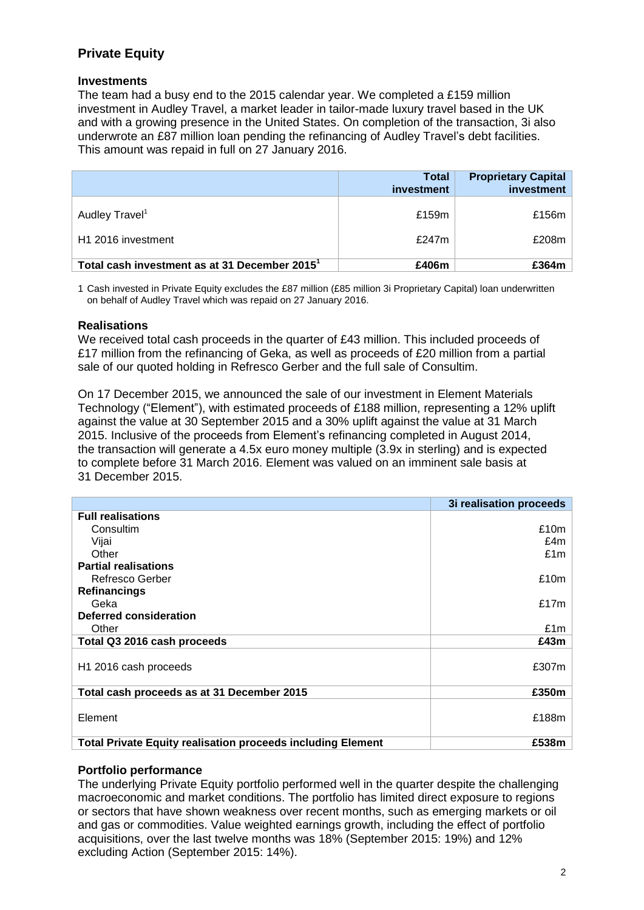## **Private Equity**

#### **Investments**

The team had a busy end to the 2015 calendar year. We completed a £159 million investment in Audley Travel, a market leader in tailor-made luxury travel based in the UK and with a growing presence in the United States. On completion of the transaction, 3i also underwrote an £87 million loan pending the refinancing of Audley Travel's debt facilities. This amount was repaid in full on 27 January 2016.

|                                                           | <b>Total</b><br>investment | <b>Proprietary Capital</b><br>investment |
|-----------------------------------------------------------|----------------------------|------------------------------------------|
| Audley Travel <sup>1</sup>                                | £159m                      | £156 $m$                                 |
| H1 2016 investment                                        | £247m                      | £208m                                    |
| Total cash investment as at 31 December 2015 <sup>1</sup> | £406m                      | £364m                                    |

1 Cash invested in Private Equity excludes the £87 million (£85 million 3i Proprietary Capital) loan underwritten on behalf of Audley Travel which was repaid on 27 January 2016.

#### **Realisations**

We received total cash proceeds in the quarter of £43 million. This included proceeds of £17 million from the refinancing of Geka, as well as proceeds of £20 million from a partial sale of our quoted holding in Refresco Gerber and the full sale of Consultim.

On 17 December 2015, we announced the sale of our investment in Element Materials Technology ("Element"), with estimated proceeds of £188 million, representing a 12% uplift against the value at 30 September 2015 and a 30% uplift against the value at 31 March 2015. Inclusive of the proceeds from Element's refinancing completed in August 2014, the transaction will generate a 4.5x euro money multiple (3.9x in sterling) and is expected to complete before 31 March 2016. Element was valued on an imminent sale basis at 31 December 2015.

|                                                                    | 3i realisation proceeds |
|--------------------------------------------------------------------|-------------------------|
| <b>Full realisations</b>                                           |                         |
| Consultim                                                          | £10m                    |
| Vijai                                                              | £4m                     |
| Other                                                              | £1m                     |
| <b>Partial realisations</b>                                        |                         |
| Refresco Gerber                                                    | £10m                    |
| <b>Refinancings</b>                                                |                         |
| Geka                                                               | £17m                    |
| <b>Deferred consideration</b>                                      |                         |
| Other                                                              | £1m                     |
| Total Q3 2016 cash proceeds                                        | £43m                    |
| H <sub>1</sub> 2016 cash proceeds                                  | £307m                   |
| Total cash proceeds as at 31 December 2015                         | £350m                   |
| Element                                                            | £188m                   |
| <b>Total Private Equity realisation proceeds including Element</b> | £538m                   |

## **Portfolio performance**

The underlying Private Equity portfolio performed well in the quarter despite the challenging macroeconomic and market conditions. The portfolio has limited direct exposure to regions or sectors that have shown weakness over recent months, such as emerging markets or oil and gas or commodities. Value weighted earnings growth, including the effect of portfolio acquisitions, over the last twelve months was 18% (September 2015: 19%) and 12% excluding Action (September 2015: 14%).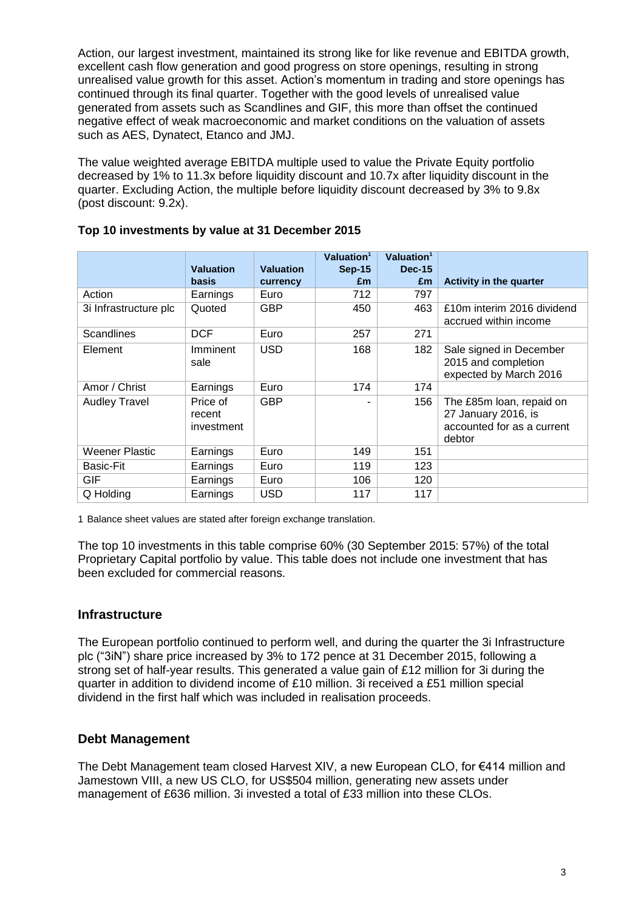Action, our largest investment, maintained its strong like for like revenue and EBITDA growth, excellent cash flow generation and good progress on store openings, resulting in strong unrealised value growth for this asset. Action's momentum in trading and store openings has continued through its final quarter. Together with the good levels of unrealised value generated from assets such as Scandlines and GIF, this more than offset the continued negative effect of weak macroeconomic and market conditions on the valuation of assets such as AES, Dynatect, Etanco and JMJ.

The value weighted average EBITDA multiple used to value the Private Equity portfolio decreased by 1% to 11.3x before liquidity discount and 10.7x after liquidity discount in the quarter. Excluding Action, the multiple before liquidity discount decreased by 3% to 9.8x (post discount: 9.2x).

|                       |                                  |                  | Valuation <sup>1</sup> | Valuation <sup>1</sup> |                                                                                         |
|-----------------------|----------------------------------|------------------|------------------------|------------------------|-----------------------------------------------------------------------------------------|
|                       | <b>Valuation</b>                 | <b>Valuation</b> | <b>Sep-15</b>          | $Dec-15$               |                                                                                         |
|                       | basis                            | currency         | £m                     | £m                     | <b>Activity in the quarter</b>                                                          |
| Action                | Earnings                         | Euro             | 712                    | 797                    |                                                                                         |
| 3i Infrastructure plc | Quoted                           | <b>GBP</b>       | 450                    | 463                    | £10m interim 2016 dividend<br>accrued within income                                     |
| <b>Scandlines</b>     | <b>DCF</b>                       | Euro             | 257                    | 271                    |                                                                                         |
| Element               | Imminent<br>sale                 | <b>USD</b>       | 168                    | 182                    | Sale signed in December<br>2015 and completion<br>expected by March 2016                |
| Amor / Christ         | Earnings                         | Euro             | 174                    | 174                    |                                                                                         |
| <b>Audley Travel</b>  | Price of<br>recent<br>investment | <b>GBP</b>       |                        | 156                    | The £85m loan, repaid on<br>27 January 2016, is<br>accounted for as a current<br>debtor |
| Weener Plastic        | Earnings                         | Euro             | 149                    | 151                    |                                                                                         |
| <b>Basic-Fit</b>      | Earnings                         | Euro             | 119                    | 123                    |                                                                                         |
| GIF                   | Earnings                         | Euro             | 106                    | 120                    |                                                                                         |
| Q Holding             | Earnings                         | <b>USD</b>       | 117                    | 117                    |                                                                                         |

## **Top 10 investments by value at 31 December 2015**

1 Balance sheet values are stated after foreign exchange translation.

The top 10 investments in this table comprise 60% (30 September 2015: 57%) of the total Proprietary Capital portfolio by value. This table does not include one investment that has been excluded for commercial reasons.

## **Infrastructure**

The European portfolio continued to perform well, and during the quarter the 3i Infrastructure plc ("3iN") share price increased by 3% to 172 pence at 31 December 2015, following a strong set of half-year results. This generated a value gain of £12 million for 3i during the quarter in addition to dividend income of £10 million. 3i received a £51 million special dividend in the first half which was included in realisation proceeds.

## **Debt Management**

The Debt Management team closed Harvest XIV, a new European CLO, for €414 million and Jamestown VIII, a new US CLO, for US\$504 million, generating new assets under management of £636 million. 3i invested a total of £33 million into these CLOs.